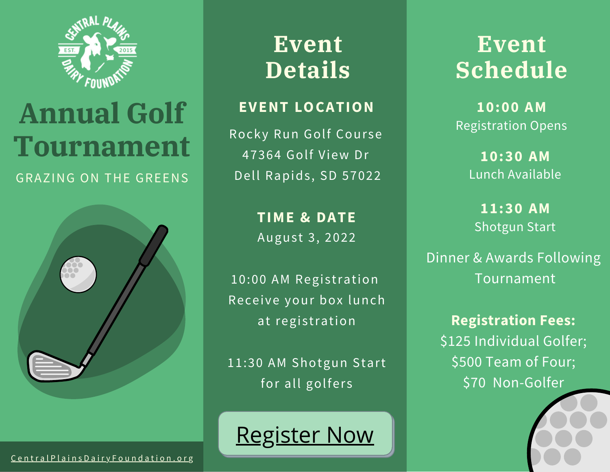

# **Annual Golf Tournament** GRAZING ON THE GREENS



# **Event Details**

# **EVENT LOCATION**

Rocky Run Golf Course 47364 Golf View Dr Dell Rapids, SD 57022

> **TIME & DATE** August 3, 2022

10:00 AM Registration Receive your box lunch at registration

11:30 AM Shotgun Start for all golfers



**Event Schedule**

**10:00 AM** Registration Opens

> **10:30 AM** Lunch Available

**11:30 AM** Shotgun Start

Dinner & Awards Following Tournament

**Registration Fees:** \$125 Individual Golfer; \$500 Team of Four; \$70 Non-Golfer

Central Plains [D](http://centralplainsdairyfoundation.org/)airy Foundation. org